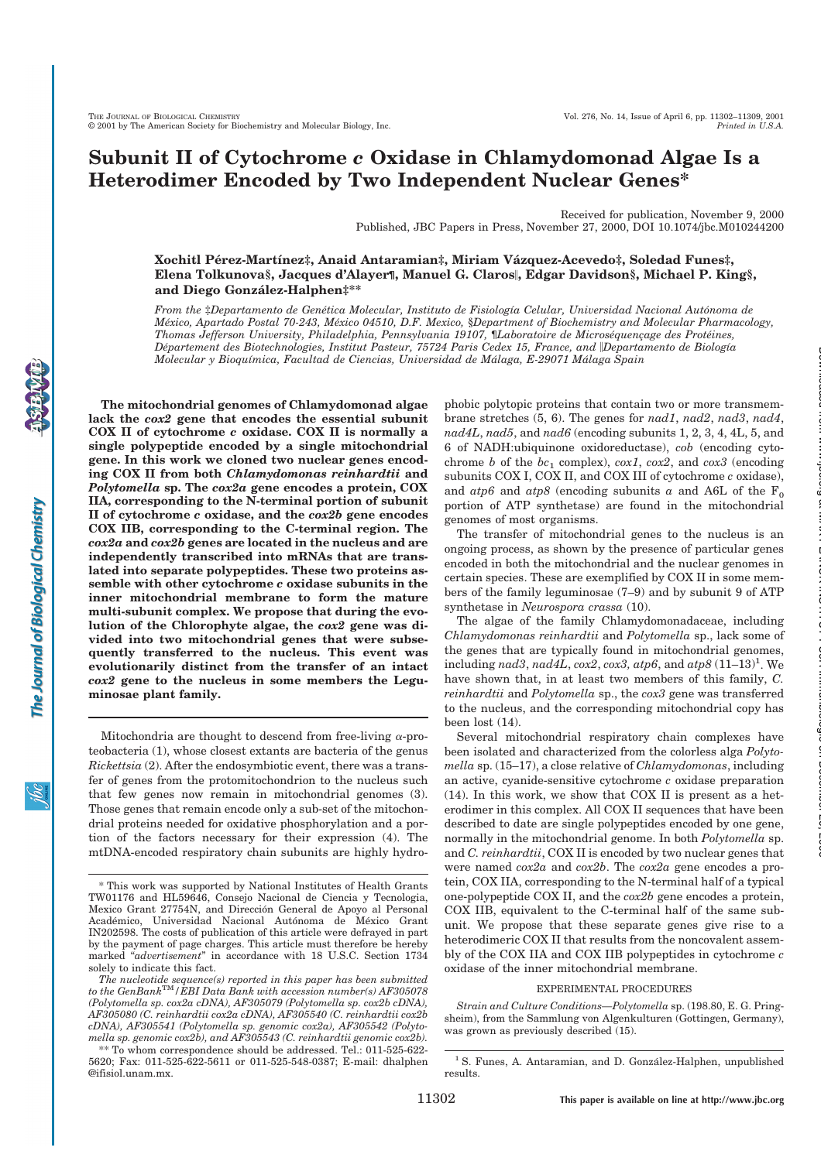# **Subunit II of Cytochrome** *c* **Oxidase in Chlamydomonad Algae Is a Heterodimer Encoded by Two Independent Nuclear Genes\***

Received for publication, November 9, 2000 Published, JBC Papers in Press, November 27, 2000, DOI 10.1074/jbc.M010244200

**Xochitl Pe´rez-Martı´nez‡, Anaid Antaramian‡, Miriam Va´ zquez-Acevedo‡, Soledad Funes‡, Elena Tolkunova§, Jacques d'Alayer¶, Manuel G. Claros**!**, Edgar Davidson§, Michael P. King§, and Diego Gonza´lez-Halphen‡\*\***

*From the* ‡*Departamento de Gene´tica Molecular, Instituto de Fisiologı´a Celular, Universidad Nacional Auto´noma de Me´xico, Apartado Postal 70-243, Me´xico 04510, D.F. Mexico,* §*Department of Biochemistry and Molecular Pharmacology, Thomas Jefferson University, Philadelphia, Pennsylvania 19107,* ¶*Laboratoire de Microse´quenc¸age des Prote´ines, De´partement des Biotechnologies, Institut Pasteur, 75724 Paris Cedex 15, France, and* !*Departamento de Biologı´a Molecular y Bioquı´mica, Facultad de Ciencias, Universidad de Ma´laga, E-29071 Ma´laga Spain*

**The mitochondrial genomes of Chlamydomonad algae lack the** *cox2* **gene that encodes the essential subunit COX II of cytochrome** *c* **oxidase. COX II is normally a single polypeptide encoded by a single mitochondrial gene. In this work we cloned two nuclear genes encoding COX II from both** *Chlamydomonas reinhardtii* **and** *Polytomella* **sp. The** *cox2a* **gene encodes a protein, COX IIA, corresponding to the N-terminal portion of subunit II of cytochrome** *c* **oxidase, and the** *cox2b* **gene encodes COX IIB, corresponding to the C-terminal region. The** *cox2a* **and** *cox2b* **genes are located in the nucleus and are independently transcribed into mRNAs that are translated into separate polypeptides. These two proteins assemble with other cytochrome** *c* **oxidase subunits in the inner mitochondrial membrane to form the mature multi-subunit complex. We propose that during the evolution of the Chlorophyte algae, the** *cox2* **gene was divided into two mitochondrial genes that were subsequently transferred to the nucleus. This event was evolutionarily distinct from the transfer of an intact** *cox2* **gene to the nucleus in some members the Leguminosae plant family.**

Mitochondria are thought to descend from free-living  $\alpha$ -proteobacteria (1), whose closest extants are bacteria of the genus *Rickettsia* (2). After the endosymbiotic event, there was a transfer of genes from the protomitochondrion to the nucleus such that few genes now remain in mitochondrial genomes (3). Those genes that remain encode only a sub-set of the mitochondrial proteins needed for oxidative phosphorylation and a portion of the factors necessary for their expression (4). The mtDNA-encoded respiratory chain subunits are highly hydrophobic polytopic proteins that contain two or more transmembrane stretches (5, 6). The genes for *nad1*, *nad2*, *nad3*, *nad4*, *nad4L*, *nad5*, and *nad6* (encoding subunits 1, 2, 3, 4, 4L, 5, and 6 of NADH:ubiquinone oxidoreductase), *cob* (encoding cytochrome *b* of the  $bc_1$  complex),  $cox1$ ,  $cox2$ , and  $cox3$  (encoding subunits COX I, COX II, and COX III of cytochrome *c* oxidase), and  $atp6$  and  $atp8$  (encoding subunits *a* and A6L of the  $F_0$ portion of ATP synthetase) are found in the mitochondrial genomes of most organisms.

The transfer of mitochondrial genes to the nucleus is an ongoing process, as shown by the presence of particular genes encoded in both the mitochondrial and the nuclear genomes in certain species. These are exemplified by COX II in some members of the family leguminosae (7–9) and by subunit 9 of ATP synthetase in *Neurospora crassa* (10).

at MAX PLANCK INSTITUT FUeR Immunbiologie on December 20, 2006 www.jbc.org Downloaded from

The algae of the family Chlamydomonadaceae, including *Chlamydomonas reinhardtii* and *Polytomella* sp., lack some of the genes that are typically found in mitochondrial genomes,  $\int$  *including nad3, nad4L, cox2, cox3, atp6, and*  $\int$  $\int$  $\int$  $(11-13)^{1}$ *. We* have shown that, in at least two members of this family, *C. reinhardtii* and *Polytomella* sp., the *cox3* gene was transferred to the nucleus, and the corresponding mitochondrial copy has been lost (14).

Several mitochondrial respiratory chain complexes have been isolated and characterized from the colorless alga *Polytomella* sp. (15–17), a close relative of *Chlamydomonas*, including an active, cyanide-sensitive cytochrome *c* oxidase preparation (14). In this work, we show that COX II is present as a heterodimer in this complex. All COX II sequences that have been described to date are single polypeptides encoded by one gene, normally in the mitochondrial genome. In both *Polytomella* sp. and *C. reinhardtii*, COX II is encoded by two nuclear genes that were named *cox2a* and *cox2b*. The *cox2a* gene encodes a protein, COX IIA, corresponding to the N-terminal half of a typical one-polypeptide COX II, and the *cox2b* gene encodes a protein, COX IIB, equivalent to the C-terminal half of the same subunit. We propose that these separate genes give rise to a heterodimeric COX II that results from the noncovalent assembly of the COX IIA and COX IIB polypeptides in cytochrome *c* oxidase of the inner mitochondrial membrane.

#### EXPERIMENTAL PROCEDURES

<sup>\*</sup> This work was supported by National Institutes of Health Grants TW01176 and HL59646, Consejo Nacional de Ciencia y Tecnologia, Mexico Grant 27754N, and Dirección General de Apoyo al Personal Académico, Universidad Nacional Autónoma de México Grant IN202598. The costs of publication of this article were defrayed in part by the payment of page charges. This article must therefore be hereby marked "*advertisement*" in accordance with 18 U.S.C. Section 1734 solely to indicate this fact.

The nucleotide sequence(s) reported in this paper has been submitted<br>to the GenBank $\mathrm{T}^\mathrm{M}/EBI$  Data Bank with accession number(s) AF305078 *(Polytomella sp. cox2a cDNA), AF305079 (Polytomella sp. cox2b cDNA), AF305080 (C. reinhardtii cox2a cDNA), AF305540 (C. reinhardtii cox2b cDNA), AF305541 (Polytomella sp. genomic cox2a), AF305542 (Polytomella sp. genomic cox2b), and AF305543 (C. reinhardtii genomic cox2b).*

<sup>\*\*</sup> To whom correspondence should be addressed. Tel.: 011-525-622- 5620; Fax: 011-525-622-5611 or 011-525-548-0387; E-mail: dhalphen @ifisiol.unam.mx.

*Strain and Culture Conditions—Polytomella* sp. (198.80, E. G. Pringsheim), from the Sammlung von Algenkulturen (Gottingen, Germany), was grown as previously described (15).

<sup>&</sup>lt;sup>1</sup> S. Funes, A. Antaramian, and D. González-Halphen, unpublished results.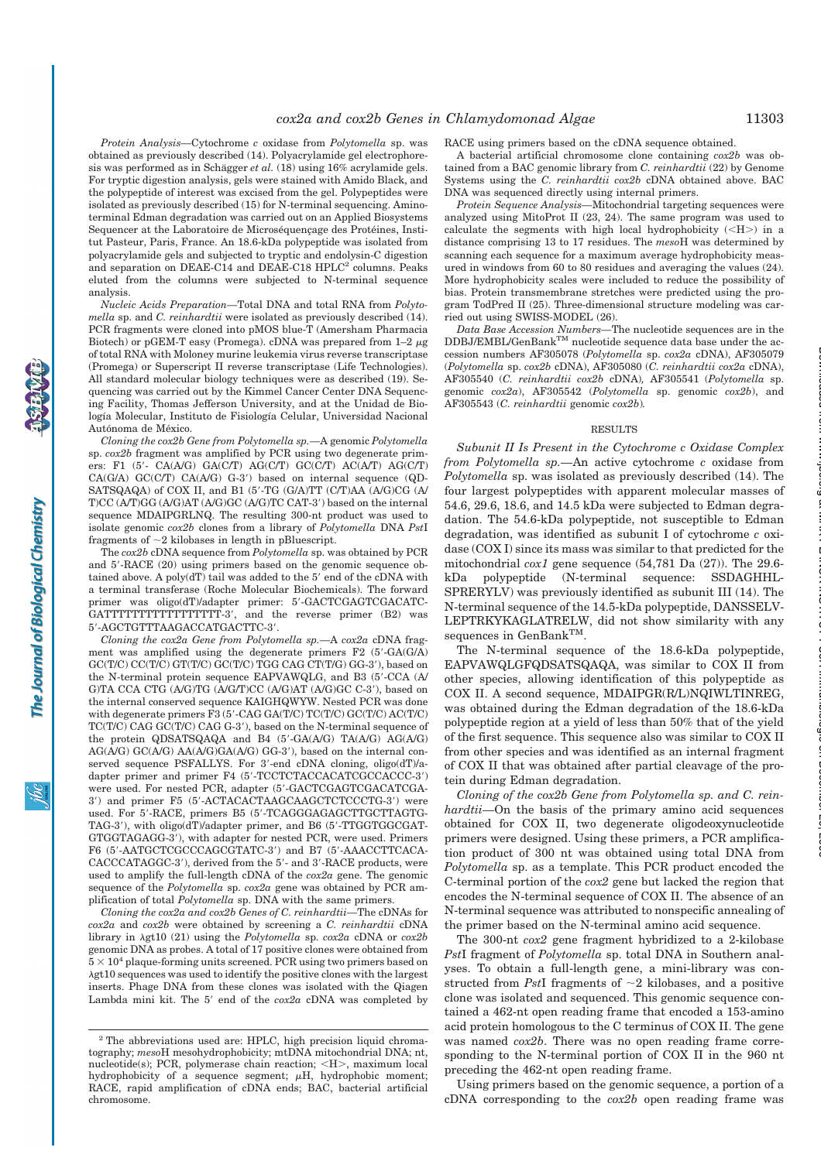at MAX PLANCK INSTITUT FUeR Immunbiologie on December 20, 2006 www.jbc.org Downloaded from

*Protein Analysis—*Cytochrome *c* oxidase from *Polytomella* sp. was obtained as previously described (14). Polyacrylamide gel electrophoresis was performed as in Schägger *et al.* (18) using 16% acrylamide gels. For tryptic digestion analysis, gels were stained with Amido Black, and the polypeptide of interest was excised from the gel. Polypeptides were isolated as previously described (15) for N-terminal sequencing. Aminoterminal Edman degradation was carried out on an Applied Biosystems Sequencer at the Laboratoire de Microséquençage des Protéines, Institut Pasteur, Paris, France. An 18.6-kDa polypeptide was isolated from polyacrylamide gels and subjected to tryptic and endolysin-C digestion and separation on DEAE-C14 and DEAE-C18 HPLC<sup>2</sup> columns. Peaks eluted from the columns were subjected to N-terminal sequence analysis.

*Nucleic Acids Preparation—*Total DNA and total RNA from *Polytomella* sp. and *C. reinhardtii* were isolated as previously described (14). PCR fragments were cloned into pMOS blue-T (Amersham Pharmacia Biotech) or pGEM-T easy (Promega). cDNA was prepared from  $1-2 \mu$ g of total RNA with Moloney murine leukemia virus reverse transcriptase (Promega) or Superscript II reverse transcriptase (Life Technologies). All standard molecular biology techniques were as described (19). Sequencing was carried out by the Kimmel Cancer Center DNA Sequencing Facility, Thomas Jefferson University, and at the Unidad de Biología Molecular, Instituto de Fisiología Celular, Universidad Nacional Autónoma de México.

*Cloning the cox2b Gene from Polytomella sp.—*A genomic *Polytomella* sp. *cox2b* fragment was amplified by PCR using two degenerate primers: F1  $(5'$ - CA(A/G) GA(C/T) AG(C/T) GC(C/T) AC(A/T) AG(C/T)  $CA(G/A)$   $GC(C/T)$   $CA(A/G)$   $G-3'$ ) based on internal sequence  $(QD-T)$ SATSQAQA) of COX II, and B1 (5'-TG (G/A)TT (C/T)AA (A/G)CG (A/ T)CC (A/T)GG (A/G)AT (A/G)GC (A/G)TC CAT-3!) based on the internal sequence MDAIPGRLNQ. The resulting 300-nt product was used to isolate genomic *cox2b* clones from a library of *Polytomella* DNA *Pst*I fragments of  $\sim$ 2 kilobases in length in pBluescript.

The *cox2b* cDNA sequence from *Polytomella* sp. was obtained by PCR and 5'-RACE (20) using primers based on the genomic sequence obtained above. A poly $dT$  tail was added to the  $5'$  end of the cDNA with a terminal transferase (Roche Molecular Biochemicals). The forward primer was oligo(dT)/adapter primer: 5'-GACTCGAGTCGACATC-GATTTTTTTTTTTTTTTTTTT-3', and the reverse primer (B2) was 5!-AGCTGTTTAAGACCATGACTTC-3!.

*Cloning the cox2a Gene from Polytomella sp.—*A *cox2a* cDNA fragment was amplified using the degenerate primers  $F2$  (5'-GA(G/A) GC(T/C) CC(T/C) GT(T/C) GC(T/C) TGG CAG CT(T/G) GG-3'), based on the N-terminal protein sequence EAPVAWQLG, and B3 (5'-CCA (A) G)TA CCA CTG (A/G)TG (A/G/T)CC (A/G)AT (A/G)GC C-3'), based on the internal conserved sequence KAIGHQWYW. Nested PCR was done with degenerate primers F3 (5'-CAG GA(T/C) TC(T/C) GC(T/C) AC(T/C) TC(T/C) CAG GC(T/C) CAG G-3'), based on the N-terminal sequence of the protein QDSATSQAQA and B4 (5'-GA(A/G) TA(A/G) AG(A/G)  $AG(A/G)$   $GC(A/G)$   $AA(A/G)$  $GA(A/G)$   $GG-3'$ ), based on the internal conserved sequence PSFALLYS. For 3'-end cDNA cloning, oligo(dT)/adapter primer and primer F4 (5'-TCCTCTACCACATCGCCACCC-3') were used. For nested PCR, adapter (5'-GACTCGAGTCGACATCGA-3') and primer F5 (5'-ACTACACTAAGCAAGCTCTCCCTG-3') were used. For 5'-RACE, primers B5 (5'-TCAGGGAGAGCTTGCTTAGTG-TAG-3'), with oligo(dT)/adapter primer, and B6 (5'-TTGGTGGCGAT-GTGGTAGAGG-3'), with adapter for nested PCR, were used. Primers F6 (5'-AATGCTCGCCCAGCGTATC-3') and B7 (5'-AAACCTTCACA-CACCCATAGGC-3'), derived from the 5'- and 3'-RACE products, were used to amplify the full-length cDNA of the *cox2a* gene. The genomic sequence of the *Polytomella* sp. *cox2a* gene was obtained by PCR amplification of total *Polytomella* sp. DNA with the same primers.

*Cloning the cox2a and cox2b Genes of C. reinhardtii—*The cDNAs for *cox2a* and *cox2b* were obtained by screening a *C. reinhardtii* cDNA library in  $\lambda$ gt10 (21) using the *Polytomella* sp. *cox2a* cDNA or *cox2b* genomic DNA as probes. A total of 17 positive clones were obtained from  $5 \times 10^4$  plaque-forming units screened. PCR using two primers based on Agt10 sequences was used to identify the positive clones with the largest inserts. Phage DNA from these clones was isolated with the Qiagen Lambda mini kit. The 5' end of the  $cox2a$  cDNA was completed by RACE using primers based on the cDNA sequence obtained.

A bacterial artificial chromosome clone containing *cox2b* was obtained from a BAC genomic library from *C. reinhardtii* (22) by Genome Systems using the *C. reinhardtii cox2b* cDNA obtained above. BAC DNA was sequenced directly using internal primers.

*Protein Sequence Analysis—*Mitochondrial targeting sequences were analyzed using MitoProt II (23, 24). The same program was used to calculate the segments with high local hydrophobicity  $(<\text{H}>$ ) in a distance comprising 13 to 17 residues. The *meso*H was determined by scanning each sequence for a maximum average hydrophobicity measured in windows from 60 to 80 residues and averaging the values (24). More hydrophobicity scales were included to reduce the possibility of bias. Protein transmembrane stretches were predicted using the program TodPred II (25). Three-dimensional structure modeling was carried out using SWISS-MODEL (26).

*Data Base Accession Numbers—*The nucleotide sequences are in the  $\text{DDBJ/EMBL/GenBank}^{\text{\tiny{TM}}}$  nucleotide sequence data base under the accession numbers AF305078 (*Polytomella* sp. *cox2a* cDNA), AF305079 (*Polytomella* sp. *cox2b* cDNA), AF305080 (*C. reinhardtii cox2a* cDNA), AF305540 (*C. reinhardtii cox2b* cDNA)*,* AF305541 (*Polytomella* sp. genomic *cox2a*), AF305542 (*Polytomella* sp. genomic *cox2b*), and AF305543 (*C. reinhardtii* genomic *cox2b*)*.*

#### RESULTS

*Subunit II Is Present in the Cytochrome c Oxidase Complex from Polytomella sp.—*An active cytochrome *c* oxidase from *Polytomella* sp. was isolated as previously described (14). The four largest polypeptides with apparent molecular masses of 54.6, 29.6, 18.6, and 14.5 kDa were subjected to Edman degradation. The 54.6-kDa polypeptide, not susceptible to Edman degradation, was identified as subunit I of cytochrome *c* oxidase (COX I) since its mass was similar to that predicted for the mitochondrial *cox1* gene sequence (54,781 Da (27)). The 29.6 kDa polypeptide (N-terminal sequence: SSDAGHHL-SPRERYLV) was previously identified as subunit III (14). The N-terminal sequence of the 14.5-kDa polypeptide, DANSSELV-LEPTRKYKAGLATRELW, did not show similarity with any sequences in GenBank<sup>TM</sup>.

The N-terminal sequence of the 18.6-kDa polypeptide, EAPVAWQLGFQDSATSQAQA, was similar to COX II from other species, allowing identification of this polypeptide as COX II. A second sequence, MDAIPGR(R/L)NQIWLTINREG, was obtained during the Edman degradation of the 18.6-kDa polypeptide region at a yield of less than 50% that of the yield of the first sequence. This sequence also was similar to COX II from other species and was identified as an internal fragment of COX II that was obtained after partial cleavage of the protein during Edman degradation.

*Cloning of the cox2b Gene from Polytomella sp. and C. reinhardtii—*On the basis of the primary amino acid sequences obtained for COX II, two degenerate oligodeoxynucleotide primers were designed. Using these primers, a PCR amplification product of 300 nt was obtained using total DNA from *Polytomella* sp. as a template. This PCR product encoded the C-terminal portion of the *cox2* gene but lacked the region that encodes the N-terminal sequence of COX II. The absence of an N-terminal sequence was attributed to nonspecific annealing of the primer based on the N-terminal amino acid sequence.

The 300-nt *cox2* gene fragment hybridized to a 2-kilobase *Pst*I fragment of *Polytomella* sp. total DNA in Southern analyses. To obtain a full-length gene, a mini-library was constructed from *PstI* fragments of  $\sim$ 2 kilobases, and a positive clone was isolated and sequenced. This genomic sequence contained a 462-nt open reading frame that encoded a 153-amino acid protein homologous to the C terminus of COX II. The gene was named *cox2b*. There was no open reading frame corresponding to the N-terminal portion of COX II in the 960 nt preceding the 462-nt open reading frame.

Using primers based on the genomic sequence, a portion of a cDNA corresponding to the *cox2b* open reading frame was

<sup>&</sup>lt;sup>2</sup> The abbreviations used are: HPLC, high precision liquid chromatography; *meso*H mesohydrophobicity; mtDNA mitochondrial DNA; nt, nucleotide(s); PCR, polymerase chain reaction;  $\langle H \rangle$ , maximum local hydrophobicity of a sequence segment;  $\mu$ H, hydrophobic moment; RACE, rapid amplification of cDNA ends; BAC, bacterial artificial chromosome.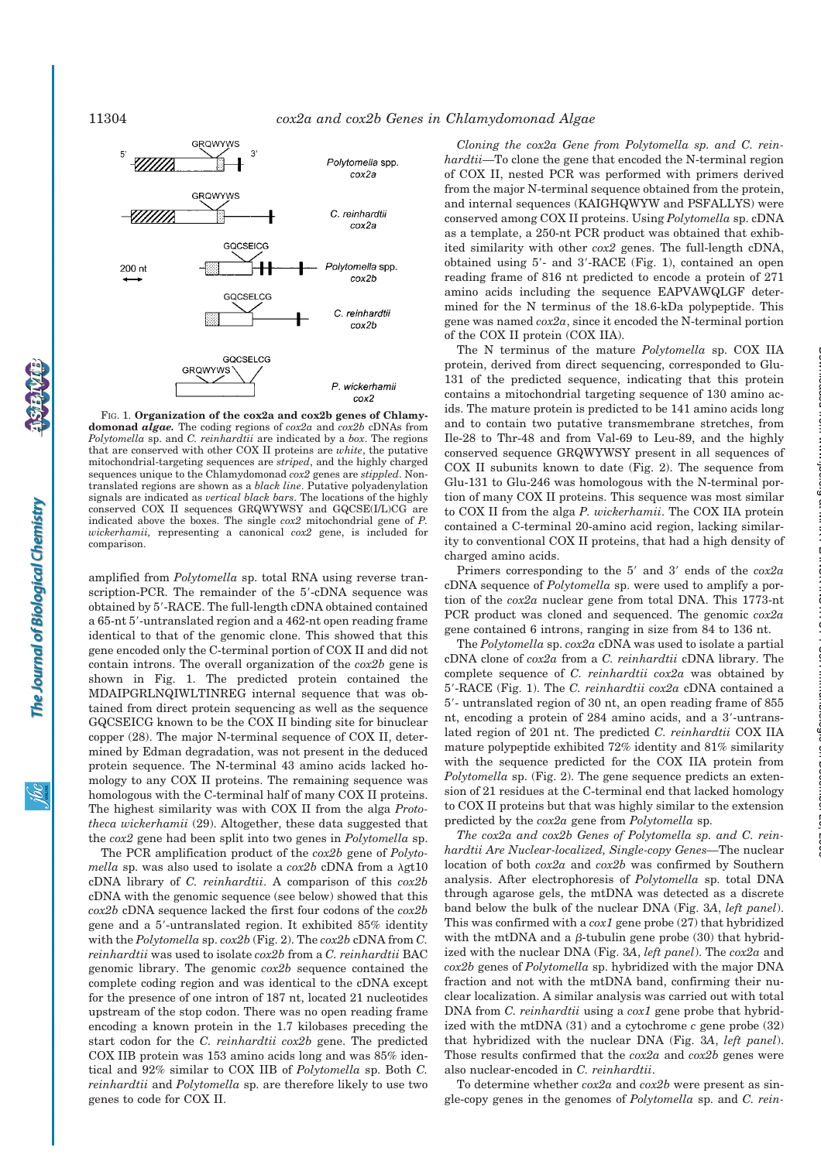11304 *cox2a and cox2b Genes in Chlamydomonad Algae*



FIG. 1. **Organization of the cox2a and cox2b genes of Chlamydomonad** *algae.* The coding regions of *cox2a* and *cox2b* cDNAs from *Polytomella* sp. and *C. reinhardtii* are indicated by a *box*. The regions that are conserved with other COX II proteins are *white*, the putative mitochondrial-targeting sequences are *striped*, and the highly charged sequences unique to the Chlamydomonad *cox2* genes are *stippled*. Nontranslated regions are shown as a *black line*. Putative polyadenylation signals are indicated as *vertical black bars*. The locations of the highly conserved COX II sequences GRQWYWSY and GQCSE(I/L)CG are indicated above the boxes. The single *cox2* mitochondrial gene of *P. wickerhamii,* representing a canonical *cox2* gene, is included for comparison.

amplified from *Polytomella* sp. total RNA using reverse transcription-PCR. The remainder of the 5'-cDNA sequence was obtained by 5'-RACE. The full-length cDNA obtained contained a 65-nt 5'-untranslated region and a 462-nt open reading frame identical to that of the genomic clone. This showed that this gene encoded only the C-terminal portion of COX II and did not contain introns. The overall organization of the *cox2b* gene is shown in Fig. 1. The predicted protein contained the MDAIPGRLNQIWLTINREG internal sequence that was obtained from direct protein sequencing as well as the sequence GQCSEICG known to be the COX II binding site for binuclear copper (28). The major N-terminal sequence of COX II, determined by Edman degradation, was not present in the deduced protein sequence. The N-terminal 43 amino acids lacked homology to any COX II proteins. The remaining sequence was homologous with the C-terminal half of many COX II proteins. The highest similarity was with COX II from the alga *Prototheca wickerhamii* (29). Altogether, these data suggested that the *cox2* gene had been split into two genes in *Polytomella* sp.

The PCR amplification product of the *cox2b* gene of *Polyto* $mella$  sp. was also used to isolate a  $cox2b$  cDNA from a  $\lambda g t10$ cDNA library of *C. reinhardtii*. A comparison of this *cox2b* cDNA with the genomic sequence (see below) showed that this *cox2b* cDNA sequence lacked the first four codons of the *cox2b* gene and a 5'-untranslated region. It exhibited 85% identity with the *Polytomella* sp. *cox2b* (Fig. 2). The *cox2b* cDNA from *C. reinhardtii* was used to isolate *cox2b* from a *C. reinhardtii* BAC genomic library. The genomic *cox2b* sequence contained the complete coding region and was identical to the cDNA except for the presence of one intron of 187 nt, located 21 nucleotides upstream of the stop codon. There was no open reading frame encoding a known protein in the 1.7 kilobases preceding the start codon for the *C. reinhardtii cox2b* gene. The predicted COX IIB protein was 153 amino acids long and was 85% identical and 92% similar to COX IIB of *Polytomella* sp. Both *C. reinhardtii* and *Polytomella* sp. are therefore likely to use two genes to code for COX II.

*Cloning the cox2a Gene from Polytomella sp. and C. reinhardtii—*To clone the gene that encoded the N-terminal region of COX II, nested PCR was performed with primers derived from the major N-terminal sequence obtained from the protein, and internal sequences (KAIGHQWYW and PSFALLYS) were conserved among COX II proteins. Using *Polytomella* sp. cDNA as a template, a 250-nt PCR product was obtained that exhibited similarity with other *cox2* genes. The full-length cDNA, obtained using 5'- and 3'-RACE (Fig. 1), contained an open reading frame of 816 nt predicted to encode a protein of 271 amino acids including the sequence EAPVAWQLGF determined for the N terminus of the 18.6-kDa polypeptide. This gene was named *cox2a*, since it encoded the N-terminal portion of the COX II protein (COX IIA).

The N terminus of the mature *Polytomella* sp. COX IIA protein, derived from direct sequencing, corresponded to Glu-131 of the predicted sequence, indicating that this protein contains a mitochondrial targeting sequence of 130 amino acids. The mature protein is predicted to be 141 amino acids long and to contain two putative transmembrane stretches, from Ile-28 to Thr-48 and from Val-69 to Leu-89, and the highly conserved sequence GRQWYWSY present in all sequences of COX II subunits known to date (Fig. 2). The sequence from Glu-131 to Glu-246 was homologous with the N-terminal portion of many COX II proteins. This sequence was most similar to COX II from the alga *P. wickerhamii*. The COX IIA protein contained a C-terminal 20-amino acid region, lacking similarity to conventional COX II proteins, that had a high density of charged amino acids.

Primers corresponding to the 5' and 3' ends of the  $cox2a$ cDNA sequence of *Polytomella* sp. were used to amplify a portion of the *cox2a* nuclear gene from total DNA. This 1773-nt PCR product was cloned and sequenced. The genomic *cox2a* gene contained 6 introns, ranging in size from 84 to 136 nt.

The *Polytomella* sp. *cox2a* cDNA was used to isolate a partial cDNA clone of *cox2a* from a *C. reinhardtii* cDNA library. The complete sequence of *C. reinhardtii cox2a* was obtained by 5!-RACE (Fig. 1). The *C. reinhardtii cox2a* cDNA contained a 5'- untranslated region of 30 nt, an open reading frame of 855 nt, encoding a protein of 284 amino acids, and a 3'-untranslated region of 201 nt. The predicted *C. reinhardtii* COX IIA mature polypeptide exhibited 72% identity and 81% similarity with the sequence predicted for the COX IIA protein from *Polytomella* sp. (Fig. 2). The gene sequence predicts an extension of 21 residues at the C-terminal end that lacked homology to COX II proteins but that was highly similar to the extension predicted by the *cox2a* gene from *Polytomella* sp.

*The cox2a and cox2b Genes of Polytomella sp. and C. reinhardtii Are Nuclear-localized, Single-copy Genes—*The nuclear location of both *cox2a* and *cox2b* was confirmed by Southern analysis. After electrophoresis of *Polytomella* sp. total DNA through agarose gels, the mtDNA was detected as a discrete band below the bulk of the nuclear DNA (Fig. 3*A*, *left panel*). This was confirmed with a *cox1* gene probe (27) that hybridized with the mtDNA and a  $\beta$ -tubulin gene probe (30) that hybridized with the nuclear DNA (Fig. 3*A*, *left panel*). The *cox2a* and *cox2b* genes of *Polytomella* sp. hybridized with the major DNA fraction and not with the mtDNA band, confirming their nuclear localization. A similar analysis was carried out with total DNA from *C. reinhardtii* using a *cox1* gene probe that hybridized with the mtDNA (31) and a cytochrome *c* gene probe (32) that hybridized with the nuclear DNA (Fig. 3*A*, *left panel*). Those results confirmed that the *cox2a* and *cox2b* genes were also nuclear-encoded in *C. reinhardtii*.

To determine whether *cox2a* and *cox2b* were present as single-copy genes in the genomes of *Polytomella* sp. and *C. rein-*

 $\mathscr{B}$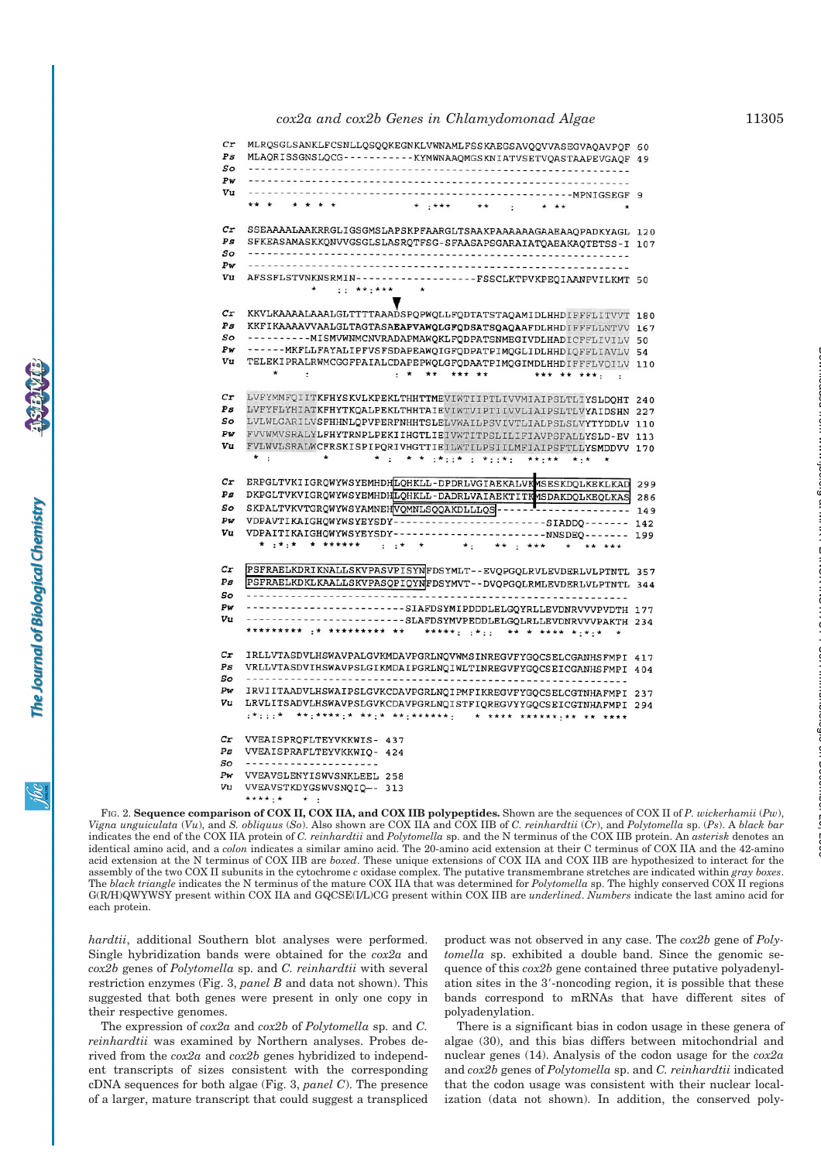# *cox2a and cox2b Genes in Chlamydomonad Algae* 11305

| Cr<br>$_{\it{Ps}}$<br>So<br>Pw<br>Vu | MLRQSGLSANKLFCSNLLQSQQKEGNKLVWNAMLFSSKAEGSAVQQVVASEGVAQAVPQF 60<br>MLAQRISSGNSLQCG-----------KYMWNAAQMGSKNIATVSETVQASTAAPEVGAQF 49<br>----MPNIGSEGF 9          |     |
|--------------------------------------|----------------------------------------------------------------------------------------------------------------------------------------------------------------|-----|
| cr<br>Ps                             | $* + * * * *$<br>$* *$<br>SSEAAAALAAKRRGLIGSGMSLAPSKPFAARGLTSAAKPAAAAAAGAAEAAQPADKYAGL 120<br>SFKEASAMASKKQNVVGSGLSLASRQTFSG-SFAASAPSGARAIATQAEAKAQTETSS-I 107 |     |
| So                                   | --------------------------------                                                                                                                               |     |
| Pw                                   |                                                                                                                                                                |     |
| Vu                                   | AFSSFLSTVNKNSRMIN------------------FSSCLKTPVKPEQIAANPVILKMT 50<br>$\star$                                                                                      |     |
|                                      | $:$ ** $**$                                                                                                                                                    |     |
| cr                                   | KKVLKAAAALAAALGLTTTTAAADSPQPWQLLFQDTATSTAQAMIDLHHDIFFFLITVVT 180                                                                                               |     |
| $_{Ps}$                              | KKFIKAAAAVVAALGLTAGTASAEAPVAWQLGFQDSATSQAQAAFDLHHDIFFFLLNTVV 167                                                                                               |     |
| So                                   | ----------MISMVWNMCNVRADAPMAWQKLFQDPATSNMEGIVDLHADICFFLIVILV 50                                                                                                |     |
| Pw                                   | ------MKFLLFAYALIPFVSFSDAPEAWQIGFQDPATPIMQGLIDLHHDIQFFLIAVLV 54                                                                                                |     |
| Vu                                   | TELEKIPRALRWMCGGFPAIALCDAPEPWQLGFQDAATPIMQGIMDLHHDIFFFLVQILV 110                                                                                               |     |
|                                      | $\star$<br>$\ddot{\phantom{a}}$<br><b>. * ** *** **</b><br>*** ** ***:                                                                                         |     |
| cr                                   | LVFYMMFQIITKFHYSKVLKPEKLTHHTTMEVIWTIIPTLIVVMIAIPSLTLIYSLDQHT 240                                                                                               |     |
| Ps                                   | LVFYFLYHIATKFHYTKQALPEKLTHHTAIEVIWTVIPTIIVVLIAIPSLTLVYAIDSHN 227                                                                                               |     |
| So                                   | LVLWLGARILVSFHHNLQPVPERFNHHTSLELVWAILPSVIVTLIALPSLSLVYTYDDLV 110                                                                                               |     |
| Pw                                   | FVVWMVSRALYLFHYTRNPLPEKIIHGTLIEIVWTITPSLILIFIAVPSFALLYSLD-EV 113                                                                                               |     |
| Vu                                   | FVLWVLSRALWCFRSKISPIPQRIVHGTTIEILWTILPSIILMFIAIPSFTLLYSMDDVV 170                                                                                               |     |
|                                      | $\star$ $\cdot$<br>* do * * d*do* do*do*d<br>$***$ : * *<br>$* : *$                                                                                            |     |
| cr                                   |                                                                                                                                                                |     |
| Ps                                   | ERPGLTVKIIGRQWYWSYEMHDHLQHKLL-DPDRLVGIAEKALVKMSESKDQLKEKLKAD<br>DKPGLTVKVIGRQWYWSYEMHDHLQHKLL-DADRLVAIAEKTITKMSDAKDQLKEQLKAS                                   | 299 |
| So                                   | SKPALTVKVTGRQWYWSYAMNEHVQMNLSQQAKDLLLQS ------<br>---------------                                                                                              | 286 |
| Pw                                   | VDPAVTIKAIGHQWYWSYEYSDY-----------------------SIADDQ-------                                                                                                    | 149 |
| Vu                                   | VDPAITIKAIGHQWYWSYEYSDY------------------------NNSDEQ------- 199                                                                                               | 142 |
|                                      | * **** * ******<br><br>$\star$ :<br>** : ***                                                                                                                   |     |
|                                      |                                                                                                                                                                |     |
| $_{cr}$                              | PSFRAELKDRIKNALLSKVPASVPISYNFDSYMLT--EVQPGQLRVLEVDERLVLPTNTL 357                                                                                               |     |
| Ps                                   | PSFRAELKDKLKAALLSKVPASQPIQYNFDSYMVT--DVQPGQLRMLEVDERLVLPTNTL 344                                                                                               |     |
| So                                   |                                                                                                                                                                |     |
| Pw<br>Vu                             | ---------------------SIAFDSYMIPDDDLELGQYRLLEVDNRVVVPVDTH 177                                                                                                   |     |
|                                      | ---------------------SLAFDSYMVPEDDLELGQLRLLEVDNRVVVPAKTH 234<br>********* :* ********* ** *****: :*:: ** * **** *:*:* *                                        |     |
|                                      |                                                                                                                                                                |     |
| $\emph{cr}$                          | IRLLVTASDVLHSWAVPALGVKMDAVPGRLNQVWMSINREGVFYGQCSELCGANHSFMPI 417                                                                                               |     |
| P <sub>S</sub>                       | VRLLVTASDVIHSWAVPSLGIKMDAIPGRLNQIWLTINREGVFYGQCSEICGANHSFMPI 404                                                                                               |     |
| So                                   |                                                                                                                                                                |     |
| Pw                                   | IRVIITAADVLHSWAIPSLGVKCDAVPGRLNQIPMFIKREGVFYGQCSELCGTNHAFMPI 237                                                                                               |     |
| Vu                                   | LRVLITSADVLHSWAVPSLGVKCDAVPGRLNQISTFIQREGVYYGQCSEICGTNHAFMPI 294                                                                                               |     |
|                                      |                                                                                                                                                                |     |
| Cr                                   | VVEAISPROFLTEYVKKWIS- 437                                                                                                                                      |     |
| Ps                                   | VVEAISPRAFLTEYVKKWIQ- 424                                                                                                                                      |     |
| So                                   | ---------------------                                                                                                                                          |     |
| Pw                                   | VVEAVSLENYISWVSNKLEEL 258                                                                                                                                      |     |
| Vu                                   | VVEAVSTKDYGSWVSNQIQ -- 313                                                                                                                                     |     |
|                                      | **** · * ·                                                                                                                                                     |     |

FIG. 2. Sequence comparison of COX II. COX IIA. and COX IIB polypeptides. Shown are the sequences of COX II of P. wickerhamii (Pw). Vigna unguiculata  $(Vu)$ , and S. obliquus (So). Also shown are COX IIA and COX IIB of C. reinhardtii  $(\hat{C}r)$ , and Polytomella sp. (Ps). A black bar indicates the end of the COX IIA protein of *C. reinhardtii* and *Polytomella* sp. and the N terminus of the COX IIB protein. An *asterisk* denotes an identical amino acid, and a *colon* indicates a similar amino acid. The 20-amino acid extension at their C terminus of COX IIA and the 42-amino acid extension at the N terminus of COX IIB are *boxed*. These unique extensions of COX IIA and COX IIB are hypothesized to interact for the assembly of the two COX II subunits in the cytochrome *c* oxidase complex. The putative transmembrane stretches are indicated within *gray boxes*. The *black triangle* indicates the N terminus of the mature COX IIA that was determined for *Polytomella* sp. The highly conserved COX II regions G(R/H)QWYWSY present within COX IIA and GQCSE(I/L)CG present within COX IIB are *underlined*. *Numbers* indicate the last amino acid for each protein.

*hardtii*, additional Southern blot analyses were performed. Single hybridization bands were obtained for the *cox2a* and *cox2b* genes of *Polytomella* sp. and *C. reinhardtii* with several restriction enzymes (Fig. 3, *panel B* and data not shown). This suggested that both genes were present in only one copy in their respective genomes.

The expression of *cox2a* and *cox2b* of *Polytomella* sp. and *C. reinhardtii* was examined by Northern analyses. Probes derived from the *cox2a* and *cox2b* genes hybridized to independent transcripts of sizes consistent with the corresponding cDNA sequences for both algae (Fig. 3, *panel C*). The presence of a larger, mature transcript that could suggest a transpliced product was not observed in any case. The *cox2b* gene of *Polytomella* sp. exhibited a double band. Since the genomic sequence of this *cox2b* gene contained three putative polyadenylation sites in the 3'-noncoding region, it is possible that these bands correspond to mRNAs that have different sites of polyadenylation.

There is a significant bias in codon usage in these genera of algae (30), and this bias differs between mitochondrial and nuclear genes (14). Analysis of the codon usage for the *cox2a* and *cox2b* genes of *Polytomella* sp. and *C. reinhardtii* indicated that the codon usage was consistent with their nuclear localization (data not shown). In addition, the conserved poly-

at MAX PLANCK INSTITUT FUeR Immunbiologie on December 20, 2006 www.jbc.org Downloaded from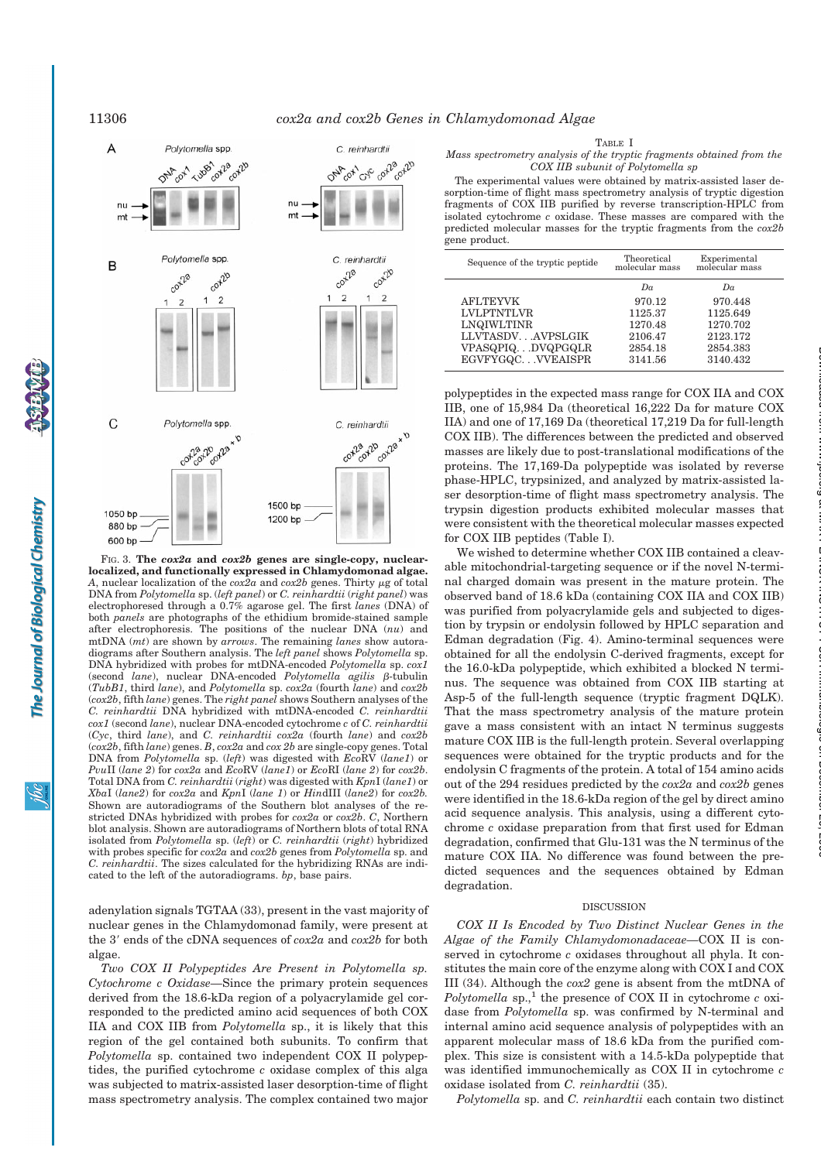

FIG. 3. **The** *cox2a* **and** *cox2b* **genes are single-copy, nuclearlocalized, and functionally expressed in Chlamydomonad algae.** A, nuclear localization of the  $cox2a$  and  $cox2b$  genes. Thirty  $\mu$ g of total DNA from *Polytomella* sp. (*left panel*) or *C. reinhardtii* (*right panel*) was electrophoresed through a 0.7% agarose gel. The first *lanes* (DNA) of both *panels* are photographs of the ethidium bromide-stained sample after electrophoresis. The positions of the nuclear DNA (*nu*) and mtDNA (*mt*) are shown by *arrows*. The remaining *lanes* show autoradiograms after Southern analysis. The *left panel* shows *Polytomella* sp. DNA hybridized with probes for mtDNA-encoded *Polytomella* sp. *cox1* (second *lane*), nuclear DNA-encoded *Polytomella agilis* β-tubulin (*TubB1*, third *lane*), and *Polytomella* sp. *cox2a* (fourth *lane*) and *cox2b* (*cox2b*, fifth *lane*) genes. The *right panel* shows Southern analyses of the *C. reinhardtii* DNA hybridized with mtDNA-encoded *C. reinhardtii cox1* (second *lane*), nuclear DNA-encoded cytochrome *c* of *C. reinhardtii* (*Cyc*, third *lane*), and *C. reinhardtii cox2a* (fourth *lane*) and *cox2b* (*cox2b*, fifth *lane*) genes. *B*, *cox2a* and *cox 2b* are single-copy genes. Total DNA from *Polytomella* sp. (*left*) was digested with *Eco*RV (*lane1*) or *Pvu*II (*lane 2*) for *cox2a* and *Eco*RV (*lane1*) or *Eco*RI (*lane 2*) for *cox2b*. Total DNA from *C. reinhardtii* (*right*) was digested with *Kpn*I (*lane1*) or *Xba*I (*lane2*) for *cox2a* and *Kpn*I (*lane 1*) or *Hin*dIII (*lane2*) for *cox2b.* Shown are autoradiograms of the Southern blot analyses of the restricted DNAs hybridized with probes for *cox2a* or *cox2b*. *C*, Northern blot analysis. Shown are autoradiograms of Northern blots of total RNA isolated from *Polytomella* sp. (*left*) or *C. reinhardtii* (*right*) hybridized with probes specific for *cox2a* and *cox2b* genes from *Polytomella* sp. and *C. reinhardtii*. The sizes calculated for the hybridizing RNAs are indicated to the left of the autoradiograms. *bp*, base pairs.

# adenylation signals TGTAA (33), present in the vast majority of nuclear genes in the Chlamydomonad family, were present at the 3' ends of the cDNA sequences of  $cox2a$  and  $cox2b$  for both algae.

*Two COX II Polypeptides Are Present in Polytomella sp. Cytochrome c Oxidase—*Since the primary protein sequences derived from the 18.6-kDa region of a polyacrylamide gel corresponded to the predicted amino acid sequences of both COX IIA and COX IIB from *Polytomella* sp., it is likely that this region of the gel contained both subunits. To confirm that *Polytomella* sp. contained two independent COX II polypeptides, the purified cytochrome *c* oxidase complex of this alga was subjected to matrix-assisted laser desorption-time of flight mass spectrometry analysis. The complex contained two major TABLE I

*Mass spectrometry analysis of the tryptic fragments obtained from the COX IIB subunit of Polytomella sp*

The experimental values were obtained by matrix-assisted laser desorption-time of flight mass spectrometry analysis of tryptic digestion fragments of COX IIB purified by reverse transcription-HPLC from isolated cytochrome *c* oxidase. These masses are compared with the predicted molecular masses for the tryptic fragments from the *cox2b* gene product.

| Sequence of the tryptic peptide | Theoretical<br>molecular mass | Experimental<br>molecular mass |
|---------------------------------|-------------------------------|--------------------------------|
|                                 | Da                            | Da                             |
| <b>AFLTEYVK</b>                 | 970.12                        | 970.448                        |
| <b>LVLPTNTLVR</b>               | 1125.37                       | 1125.649                       |
| LNQIWLTINR                      | 1270.48                       | 1270.702                       |
| LLVTASDVAVPSLGIK                | 2106.47                       | 2123.172                       |
| VPASQPIQDVQPGQLR                | 2854.18                       | 2854.383                       |
| EGVFYGQCVVEAISPR                | 3141.56                       | 3140.432                       |

polypeptides in the expected mass range for COX IIA and COX IIB, one of 15,984 Da (theoretical 16,222 Da for mature COX IIA) and one of 17,169 Da (theoretical 17,219 Da for full-length COX IIB). The differences between the predicted and observed masses are likely due to post-translational modifications of the proteins. The 17,169-Da polypeptide was isolated by reverse phase-HPLC, trypsinized, and analyzed by matrix-assisted laser desorption-time of flight mass spectrometry analysis. The trypsin digestion products exhibited molecular masses that were consistent with the theoretical molecular masses expected for COX IIB peptides (Table I).

We wished to determine whether COX IIB contained a cleavable mitochondrial-targeting sequence or if the novel N-terminal charged domain was present in the mature protein. The observed band of 18.6 kDa (containing COX IIA and COX IIB) was purified from polyacrylamide gels and subjected to digestion by trypsin or endolysin followed by HPLC separation and Edman degradation (Fig. 4). Amino-terminal sequences were obtained for all the endolysin C-derived fragments, except for the 16.0-kDa polypeptide, which exhibited a blocked N terminus. The sequence was obtained from COX IIB starting at Asp-5 of the full-length sequence (tryptic fragment DQLK). That the mass spectrometry analysis of the mature protein gave a mass consistent with an intact N terminus suggests mature COX IIB is the full-length protein. Several overlapping sequences were obtained for the tryptic products and for the endolysin C fragments of the protein. A total of 154 amino acids out of the 294 residues predicted by the *cox2a* and *cox2b* genes were identified in the 18.6-kDa region of the gel by direct amino acid sequence analysis. This analysis, using a different cytochrome *c* oxidase preparation from that first used for Edman degradation, confirmed that Glu-131 was the N terminus of the mature COX IIA. No difference was found between the predicted sequences and the sequences obtained by Edman degradation.

### DISCUSSION

*COX II Is Encoded by Two Distinct Nuclear Genes in the Algae of the Family Chlamydomonadaceae—*COX II is conserved in cytochrome *c* oxidases throughout all phyla. It constitutes the main core of the enzyme along with COX I and COX III (34). Although the *cox2* gene is absent from the mtDNA of *Polytomella* sp.,<sup>1</sup> the presence of COX II in cytochrome  $c$  oxidase from *Polytomella* sp. was confirmed by N-terminal and internal amino acid sequence analysis of polypeptides with an apparent molecular mass of 18.6 kDa from the purified complex. This size is consistent with a 14.5-kDa polypeptide that was identified immunochemically as COX II in cytochrome *c* oxidase isolated from *C. reinhardtii* (35).

*Polytomella* sp. and *C. reinhardtii* each contain two distinct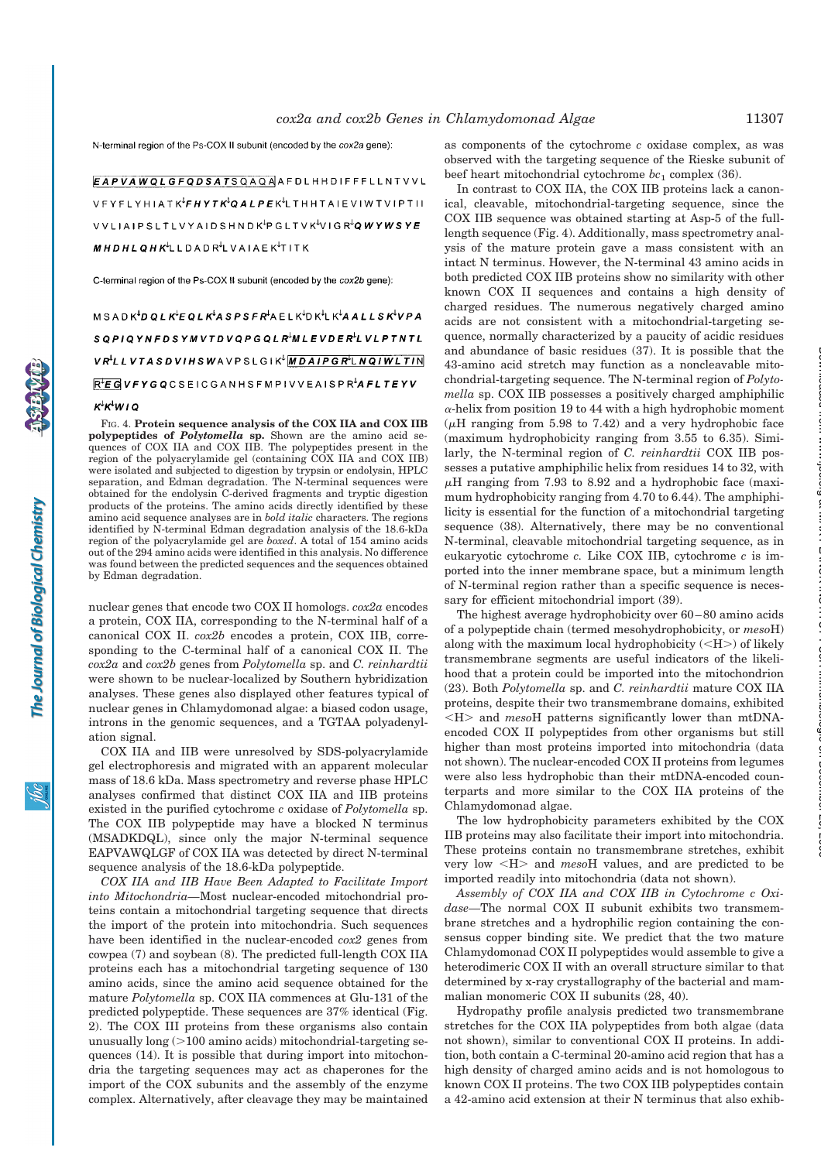N-terminal region of the Ps-COX II subunit (encoded by the cox2a gene);

EAPVAWQLGFQDSATSQAQAAFDLHHDIFFFLLNTVVL  $\verb|VFYFLYHIATK|^{L}FHYTK^{l}QALPEK^{l}LTHHTAIEVIWTVIPTII| \\$ VVLIAIPSLTLVYAIDSHNDK<sup>I</sup>PGLTVK<sup>I</sup>VIGR<sup>I</sup>QWYWSYE  $MHDHLQHK^{L}LLDADR^{L}LVALE K^{L}TITK$ 

C-terminal region of the Ps-COX II subunit (encoded by the cox2b gene):

 $MSADK^{L}DQLK^{L}EQLK^{L}ASPSFR^{L}AELK^{L}DK^{L}K^{L}AALLSK^{L}VPA$ SQPIQYNFDSYMVTDVQPGQLR<sup>L</sup>MLEVDER<sup>L</sup>LVLPTNTL VRLLVTASDVIHSWAVPSLGIK<sup>Į</sup> MDAIPGR<sup>I</sup>LNQIWLTIN  $R$ <sup>+</sup> $E$ **G**VFYGQCSEICGANHSFMPIVVEAISPR<sup>1</sup>AFLTEYV

# $K^{\downarrow}K^{\downarrow}W$ 10

FIG. 4. **Protein sequence analysis of the COX IIA and COX IIB polypeptides of** *Polytomella* **sp.** Shown are the amino acid sequences of COX IIA and COX IIB. The polypeptides present in the region of the polyacrylamide gel (containing COX IIA and COX IIB) were isolated and subjected to digestion by trypsin or endolysin, HPLC separation, and Edman degradation. The N-terminal sequences were obtained for the endolysin C-derived fragments and tryptic digestion products of the proteins. The amino acids directly identified by these amino acid sequence analyses are in *bold italic* characters. The regions identified by N-terminal Edman degradation analysis of the 18.6-kDa region of the polyacrylamide gel are *boxed*. A total of 154 amino acids out of the 294 amino acids were identified in this analysis. No difference was found between the predicted sequences and the sequences obtained by Edman degradation.

nuclear genes that encode two COX II homologs. *cox2a* encodes a protein, COX IIA, corresponding to the N-terminal half of a canonical COX II. *cox2b* encodes a protein, COX IIB, corresponding to the C-terminal half of a canonical COX II. The *cox2a* and *cox2b* genes from *Polytomella* sp. and *C. reinhardtii* were shown to be nuclear-localized by Southern hybridization analyses. These genes also displayed other features typical of nuclear genes in Chlamydomonad algae: a biased codon usage, introns in the genomic sequences, and a TGTAA polyadenylation signal.

COX IIA and IIB were unresolved by SDS-polyacrylamide gel electrophoresis and migrated with an apparent molecular mass of 18.6 kDa. Mass spectrometry and reverse phase HPLC analyses confirmed that distinct COX IIA and IIB proteins existed in the purified cytochrome *c* oxidase of *Polytomella* sp. The COX IIB polypeptide may have a blocked N terminus (MSADKDQL), since only the major N-terminal sequence EAPVAWQLGF of COX IIA was detected by direct N-terminal sequence analysis of the 18.6-kDa polypeptide.

*COX IIA and IIB Have Been Adapted to Facilitate Import into Mitochondria—*Most nuclear-encoded mitochondrial proteins contain a mitochondrial targeting sequence that directs the import of the protein into mitochondria. Such sequences have been identified in the nuclear-encoded *cox2* genes from cowpea (7) and soybean (8). The predicted full-length COX IIA proteins each has a mitochondrial targeting sequence of 130 amino acids, since the amino acid sequence obtained for the mature *Polytomella* sp. COX IIA commences at Glu-131 of the predicted polypeptide. These sequences are 37% identical (Fig. 2). The COX III proteins from these organisms also contain unusually  $\log(>100 \text{ amino acids})$  mitochondrial-targeting sequences (14). It is possible that during import into mitochondria the targeting sequences may act as chaperones for the import of the COX subunits and the assembly of the enzyme complex. Alternatively, after cleavage they may be maintained as components of the cytochrome *c* oxidase complex, as was observed with the targeting sequence of the Rieske subunit of beef heart mitochondrial cytochrome  $bc_1$  complex (36).

In contrast to COX IIA, the COX IIB proteins lack a canonical, cleavable, mitochondrial-targeting sequence, since the COX IIB sequence was obtained starting at Asp-5 of the fulllength sequence (Fig. 4). Additionally, mass spectrometry analysis of the mature protein gave a mass consistent with an intact N terminus. However, the N-terminal 43 amino acids in both predicted COX IIB proteins show no similarity with other known COX II sequences and contains a high density of charged residues. The numerous negatively charged amino acids are not consistent with a mitochondrial-targeting sequence, normally characterized by a paucity of acidic residues and abundance of basic residues (37). It is possible that the 43-amino acid stretch may function as a noncleavable mitochondrial-targeting sequence. The N-terminal region of *Polytomella* sp. COX IIB possesses a positively charged amphiphilic  $\alpha$ -helix from position 19 to 44 with a high hydrophobic moment ( $\mu$ H ranging from 5.98 to 7.42) and a very hydrophobic face (maximum hydrophobicity ranging from 3.55 to 6.35). Similarly, the N-terminal region of *C. reinhardtii* COX IIB possesses a putative amphiphilic helix from residues 14 to 32, with  $\mu$ H ranging from 7.93 to 8.92 and a hydrophobic face (maximum hydrophobicity ranging from 4.70 to 6.44). The amphiphilicity is essential for the function of a mitochondrial targeting sequence (38). Alternatively, there may be no conventional N-terminal, cleavable mitochondrial targeting sequence, as in eukaryotic cytochrome *c.* Like COX IIB, cytochrome *c* is imported into the inner membrane space, but a minimum length of N-terminal region rather than a specific sequence is necessary for efficient mitochondrial import (39).

The highest average hydrophobicity over 60–80 amino acids of a polypeptide chain (termed mesohydrophobicity, or *meso*H) along with the maximum local hydrophobicity  $(**H**)$  of likely transmembrane segments are useful indicators of the likelihood that a protein could be imported into the mitochondrion (23). Both *Polytomella* sp. and *C. reinhardtii* mature COX IIA proteins, despite their two transmembrane domains, exhibited  $\langle H \rangle$  and *meso*H patterns significantly lower than mtDNAencoded COX II polypeptides from other organisms but still higher than most proteins imported into mitochondria (data not shown). The nuclear-encoded COX II proteins from legumes were also less hydrophobic than their mtDNA-encoded counterparts and more similar to the COX IIA proteins of the Chlamydomonad algae.

The low hydrophobicity parameters exhibited by the COX IIB proteins may also facilitate their import into mitochondria. These proteins contain no transmembrane stretches, exhibit very low \$H% and *meso*H values, and are predicted to be imported readily into mitochondria (data not shown).

*Assembly of COX IIA and COX IIB in Cytochrome c Oxidase—*The normal COX II subunit exhibits two transmembrane stretches and a hydrophilic region containing the consensus copper binding site. We predict that the two mature Chlamydomonad COX II polypeptides would assemble to give a heterodimeric COX II with an overall structure similar to that determined by x-ray crystallography of the bacterial and mammalian monomeric COX II subunits (28, 40).

Hydropathy profile analysis predicted two transmembrane stretches for the COX IIA polypeptides from both algae (data not shown), similar to conventional COX II proteins. In addition, both contain a C-terminal 20-amino acid region that has a high density of charged amino acids and is not homologous to known COX II proteins. The two COX IIB polypeptides contain a 42-amino acid extension at their N terminus that also exhibat MAX PLANCK INSTITUT FUeR Immunbiologie on December 20, 2006 www.jbc.org Downloaded from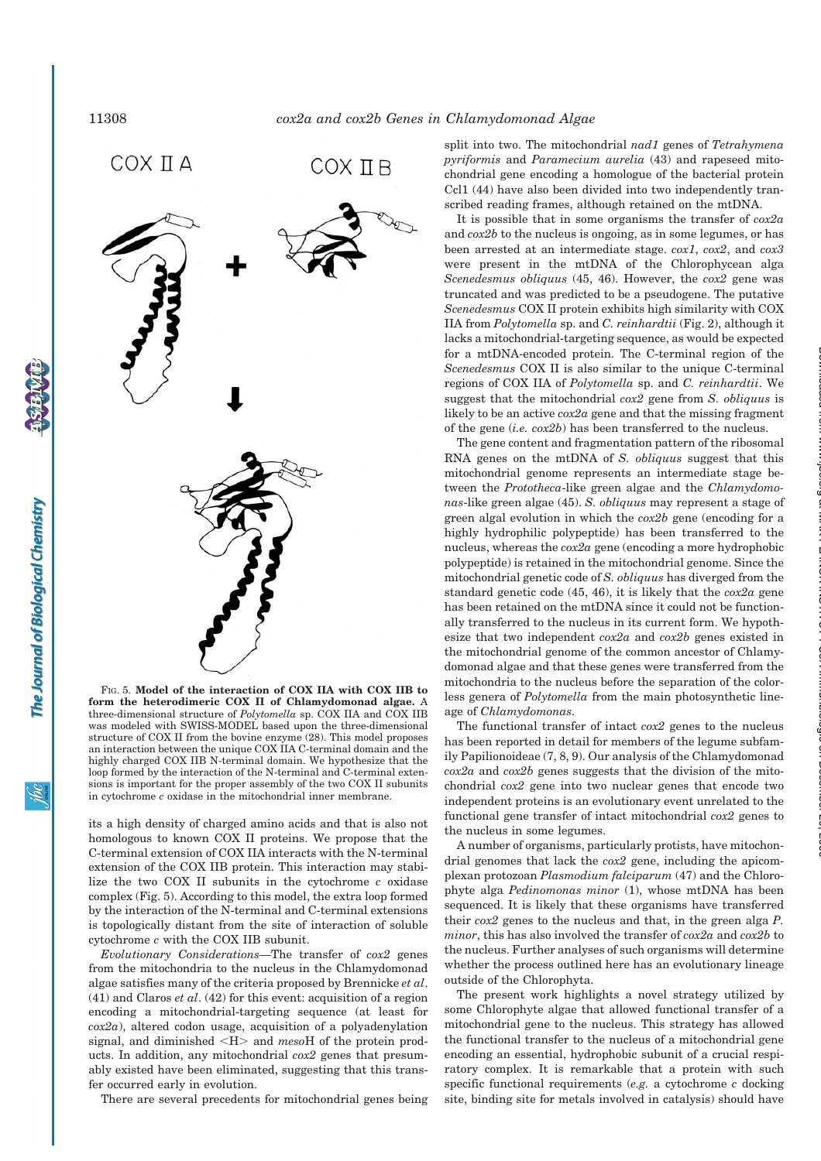The Journal of Biological Chemistry



**form the heterodimeric COX II of Chlamydomonad algae.** A three-dimensional structure of *Polytomella* sp. COX IIA and COX IIB was modeled with SWISS-MODEL based upon the three-dimensional structure of COX II from the bovine enzyme (28). This model proposes an interaction between the unique COX IIA C-terminal domain and the highly charged COX IIB N-terminal domain. We hypothesize that the loop formed by the interaction of the N-terminal and C-terminal extensions is important for the proper assembly of the two COX II subunits in cytochrome *c* oxidase in the mitochondrial inner membrane.

its a high density of charged amino acids and that is also not homologous to known COX II proteins. We propose that the C-terminal extension of COX IIA interacts with the N-terminal extension of the COX IIB protein. This interaction may stabilize the two COX II subunits in the cytochrome *c* oxidase complex (Fig. 5). According to this model, the extra loop formed by the interaction of the N-terminal and C-terminal extensions is topologically distant from the site of interaction of soluble cytochrome *c* with the COX IIB subunit.

*Evolutionary Considerations—*The transfer of *cox2* genes from the mitochondria to the nucleus in the Chlamydomonad algae satisfies many of the criteria proposed by Brennicke *et al*. (41) and Claros *et al*. (42) for this event: acquisition of a region encoding a mitochondrial-targeting sequence (at least for *cox2a*), altered codon usage, acquisition of a polyadenylation signal, and diminished \$H% and *meso*H of the protein products. In addition, any mitochondrial *cox2* genes that presumably existed have been eliminated, suggesting that this transfer occurred early in evolution.

There are several precedents for mitochondrial genes being

split into two. The mitochondrial *nad1* genes of *Tetrahymena pyriformis* and *Paramecium aurelia* (43) and rapeseed mitochondrial gene encoding a homologue of the bacterial protein Ccl1 (44) have also been divided into two independently transcribed reading frames, although retained on the mtDNA.

It is possible that in some organisms the transfer of *cox2a* and *cox2b* to the nucleus is ongoing, as in some legumes, or has been arrested at an intermediate stage. *cox1*, *cox2*, and *cox3* were present in the mtDNA of the Chlorophycean alga *Scenedesmus obliquus* (45, 46). However, the *cox2* gene was truncated and was predicted to be a pseudogene. The putative *Scenedesmus* COX II protein exhibits high similarity with COX IIA from *Polytomella* sp. and *C. reinhardtii* (Fig. 2), although it lacks a mitochondrial-targeting sequence, as would be expected for a mtDNA-encoded protein. The C-terminal region of the *Scenedesmus* COX II is also similar to the unique C-terminal regions of COX IIA of *Polytomella* sp. and *C. reinhardtii*. We suggest that the mitochondrial *cox2* gene from *S. obliquus* is likely to be an active *cox2a* gene and that the missing fragment of the gene (*i.e. cox2b*) has been transferred to the nucleus.

The gene content and fragmentation pattern of the ribosomal RNA genes on the mtDNA of *S. obliquus* suggest that this mitochondrial genome represents an intermediate stage between the *Prototheca*-like green algae and the *Chlamydomonas*-like green algae (45). *S. obliquus* may represent a stage of green algal evolution in which the *cox2b* gene (encoding for a highly hydrophilic polypeptide) has been transferred to the nucleus, whereas the *cox2a* gene (encoding a more hydrophobic polypeptide) is retained in the mitochondrial genome. Since the mitochondrial genetic code of *S. obliquus* has diverged from the standard genetic code (45, 46), it is likely that the *cox2a* gene has been retained on the mtDNA since it could not be functionally transferred to the nucleus in its current form. We hypothesize that two independent *cox2a* and *cox2b* genes existed in the mitochondrial genome of the common ancestor of Chlamydomonad algae and that these genes were transferred from the mitochondria to the nucleus before the separation of the colorless genera of *Polytomella* from the main photosynthetic lineage of *Chlamydomonas*.

The functional transfer of intact *cox2* genes to the nucleus has been reported in detail for members of the legume subfamily Papilionoideae (7, 8, 9). Our analysis of the Chlamydomonad *cox2a* and *cox2b* genes suggests that the division of the mitochondrial *cox2* gene into two nuclear genes that encode two independent proteins is an evolutionary event unrelated to the functional gene transfer of intact mitochondrial *cox2* genes to the nucleus in some legumes.

A number of organisms, particularly protists, have mitochondrial genomes that lack the *cox2* gene, including the apicomplexan protozoan *Plasmodium falciparum* (47) and the Chlorophyte alga *Pedinomonas minor* (1), whose mtDNA has been sequenced. It is likely that these organisms have transferred their *cox2* genes to the nucleus and that, in the green alga *P. minor*, this has also involved the transfer of *cox2a* and *cox2b* to the nucleus. Further analyses of such organisms will determine whether the process outlined here has an evolutionary lineage outside of the Chlorophyta.

The present work highlights a novel strategy utilized by some Chlorophyte algae that allowed functional transfer of a mitochondrial gene to the nucleus. This strategy has allowed the functional transfer to the nucleus of a mitochondrial gene encoding an essential, hydrophobic subunit of a crucial respiratory complex. It is remarkable that a protein with such specific functional requirements (*e.g.* a cytochrome *c* docking site, binding site for metals involved in catalysis) should have